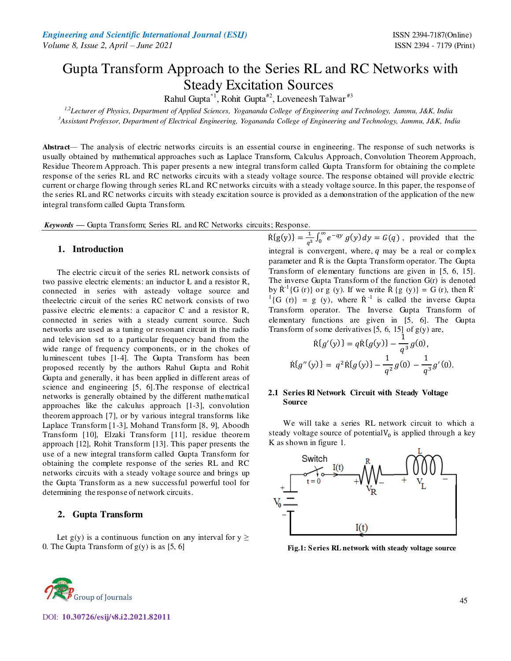# Gupta Transform Approach to the Series RL and RC Networks with Steady Excitation Sources

Rahul Gupta<sup>\*1</sup>, Rohit Gupta<sup>#2</sup>, Loveneesh Talwar<sup>#3</sup>

*1,2Lecturer of Physics, Department of Applied Sciences, Yogananda College of Engineering and Technology, Jammu, J&K, India <sup>3</sup>Assistant Professor, Department of Electrical Engineering, Yogananda College of Engineering and Technology, Jammu, J&K, India* 

**Abstract***—* The analysis of electric networks circuits is an essential course in engineering. The response of such networks is usually obtained by mathematical approaches such as Laplace Transform, Calculus Approach, Convolution Theorem Approach, Residue Theorem Approach. This paper presents a new integral transform called Gupta Transform for obtaining the complete response of the series RL and RC networks circuits with a steady voltage source. The response obtained will provide electric current or charge flowing through series RL and RC networks circuits with a steady voltage source. In this paper, the response of the series RL and RC networks circuits with steady excitation source is provided as a demonstration of the application of the new integral transform called Gupta Transform.

*Keywords* **—** Gupta Transform; Series RL and RC Networks circuits; Response*.* 

### **1. Introduction**

The electric circuit of the series RL network consists of two passive electric elements: an inductor  $L$  and a resistor  $R$ , connected in series with asteady voltage source and theelectric circuit of the series RC network consists of two passive electric elements: a capacitor C and a resistor R, connected in series with a steady current source. Such networks are used as a tuning or resonant circuit in the radio and television set to a particular frequency band from the wide range of frequency components, or in the chokes of luminescent tubes [1-4]. The Gupta Transform has been proposed recently by the authors Rahul Gupta and Rohit Gupta and generally, it has been applied in different areas of science and engineering [5, 6].The response of electrical networks is generally obtained by the different mathematical approaches like the calculus approach [1-3], convolution theorem approach [7], or by various integral transforms like Laplace Transform [1-3], Mohand Transform [8, 9], Aboodh Transform [10], Elzaki Transform [11], residue theorem approach [12], Rohit Transform [13]. This paper presents the use of a new integral transform called Gupta Transform for obtaining the complete response of the series RL and RC networks circuits with a steady voltage source and brings up the Gupta Transform as a new successful powerful tool for determining the response of network circuits.

### **2. Gupta Transform**

Let  $g(y)$  is a continuous function on any interval for  $y \geq$ 0. The Gupta Transform of  $g(y)$  is as [5, 6]

 $R{g(y)} = \frac{1}{a^2}$  $\frac{1}{q^3} \int_0^\infty e^{-qy} g(y) dy = G(q)$ , provided that the integral is convergent, where,  $q$  may be a real or complex parameter and  $\dot{R}$  is the Gupta Transform operator. The Gupta Transform of elementary functions are given in [5, 6, 15]. The inverse Gupta Transform of the function G(r) is denoted by  $\mathbf{R}^{-1}\{\mathbf{G}(\mathbf{r})\}$  or g (y). If we write  $\mathbf{R} \{g(y)\} = \mathbf{G}(\mathbf{r})$ , then  $\mathbf{R}^{-1}\{\mathbf{G}(\mathbf{r})\}$  ${}^{1}$ {G (r)} = g (y), where  $\dot{R}$ <sup>-1</sup> is called the inverse Gupta Transform operator. The Inverse Gupta Transform of elementary functions are given in [5, 6]. The Gupta Transform of some derivatives  $[5, 6, 15]$  of  $g(y)$  are,

$$
\dot{\mathsf{R}}\{g'(y)\} = q\dot{\mathsf{R}}\{g(y)\} - \frac{1}{q^3}g(0),
$$
  

$$
\dot{\mathsf{R}}\{g''(y)\} = q^2\dot{\mathsf{R}}\{g(y)\} - \frac{1}{q^2}g(0) - \frac{1}{q^3}g'(0).
$$

#### **2.1 Series Rl Network Circuit with Steady Voltage Source**

We will take a series RL network circuit to which a steady voltage source of potential  $V_0$  is applied through a key K as shown in figure 1.



**Fig.1: Series RL network with steady voltage source** 



DOI: **10.30726/esij/v8.i2.2021.82011**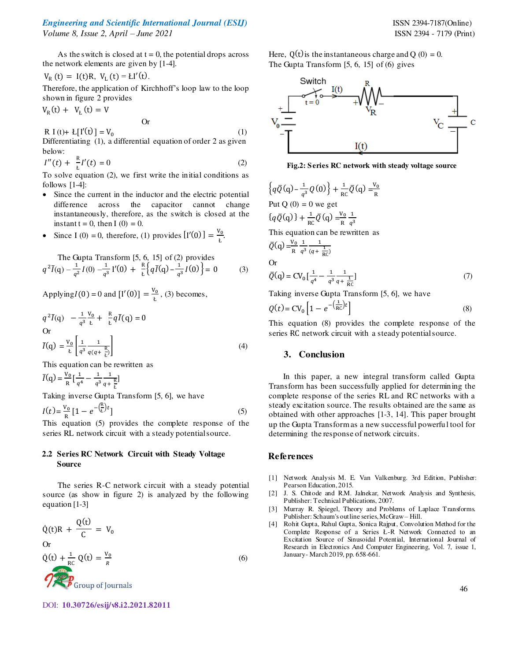# *Engineering and Scientific International Journal (ESIJ)* ISSN 2394-7187(Online)

*Volume 8, Issue 2, April – June 2021* ISSN 2394 - 7179 (Print)

As the switch is closed at  $t = 0$ , the potential drops across the network elements are given by [1-4].

$$
V_R(t) = I(t)R, V_L(t) = LI'(t).
$$

Therefore, the application of Kirchhoff's loop law to the loop shown in figure 2 provides

 $V_{R}(t) + V_{L}(t) = V$ 

Or

R I(t)+
$$
L[I'(t)] = V_0
$$
 (1)  
Differentiating (1), a differential equation of order 2 as given  
below:

$$
I''(t) + \frac{R}{t}I'(t) = 0
$$
 (2)

To solve equation (2), we first write the initial conditions as follows [1-4]:

- Since the current in the inductor and the electric potential difference across the capacitor cannot change instantaneously, therefore, as the switch is closed at the instant  $t = 0$ , then  $I(0) = 0$ .
- Since I (0) = 0, therefore, (1) provides  $[I'(0)] = \frac{V_0}{k}$ Ł .

The Gupta Transform [5, 6, 15] of (2) provides  
\n
$$
q^{2}\bar{I}(q) - \frac{1}{q^{2}}I(0) - \frac{1}{q^{3}}I'(0) + \frac{R}{k}\Big\{q\bar{I}(q) - \frac{1}{q^{3}}I(0)\Big\} = 0
$$
\n(3)

Applying  $I(0) = 0$  and  $[I'(0)] = \frac{V_0}{k}$ , (3) becomes,

$$
q^{2}\bar{I}(q) - \frac{1}{q^{3}}\frac{V_{0}}{k} + \frac{R}{k}q\bar{I}(q) = 0
$$
  
Or  

$$
\bar{I}(q) = \frac{V_{0}}{k} \left[ \frac{1}{q^{3}} \frac{1}{q(q + \frac{R}{k})} \right]
$$
 (4)

This equation can be rewritten as

 $\overline{I}(q) = \frac{V_0}{R}$  $\frac{V_0}{R} \left[ \frac{1}{q^4} - \frac{1}{q^3} \right]$  $q^3$ 1  $q + \frac{R}{k}$ Ł ]

Taking inverse Gupta Transform [5, 6], we have

$$
I(t) = \frac{V_0}{R} \left[ 1 - e^{-\left(\frac{R}{L}\right)t} \right]
$$
\n(5)

This equation  $(5)$  provides the complete response of the series RL network circuit with a steady potential source.

# **2.2 Series RC Network Circuit with Steady Voltage Source**

 The series R-C network circuit with a steady potential source (as show in figure 2) is analyzed by the following equation [1-3]

| $Q(t)R + \frac{Q(t)}{C} = V_0$ | Plubisner: Standard Solutions are Sirs and Goursal. Contour and Boursal. Contour and Boursal. Contour and Boursal. Contour and Boursal. Contour and Boursal. Contour and Boursal. Contour and Boursal. Contour and Boursal. Contour and Boursal. Contour and Boursal. Contour and Boursal. Contour and Boursal. Contour and Boursal. Contour and Boursal. Contour and Boursal. Contour and Boursal. Contour and Boursal. Contour and Boursal. Contour and Boursal. Contour and Boursal. Contour and Boursal. Contour and Boursal. Contour and Boursal. Contour and Boursal. Contour and Boursal. Contour and Boursal. Contour and Boursal. Contour and Boursal. Contour and B versal. Contour and B versal. Contour and B versal. Contour and B versal. Contour and B versal. Contour and B versal. Contour and B versal. Contour and B versal. Contour and B versal. Contour and B versal. Contour and B versal. Contour and B versal. Contour and B versal. Contour and B versal. Contour and B versal. Contour and B versal. Contour and B versal. Contour and B versal. Contour and B versal. Contour and B versal. Contour and B versal. Contour and B versal. Contour and B versal. Contour and B versal. Contour and B versal. Contour and B versal. Contour and B versal. Contour and B versal. Contour and B versal. Contour and B versal. Contour and B versal. Contour and B versal. Contour and B versal. Contour and B versal. Contour and B versal. Contour and B versal. Contour and B versal. Contour and B versal. Contour and B versal. Contour and B versal. Contour and B versal. Contour and B versal. Contour and B versal. Contour and B versal. Contour and B versal. Contour and B versal. Contour and B versal. Contour and B versal. Contour and B versal. Contour and B versal. Contour and B versal. Contour and B versal. Contour and B versal. Contour and B versal. Contour and B versal. Contour and B versal. Contour and B versal. Contour and B versal. Contour and B versal. |
|--------------------------------|-------------------------------------------------------------------------------------------------------------------------------------------------------------------------------------------------------------------------------------------------------------------------------------------------------------------------------------------------------------------------------------------------------------------------------------------------------------------------------------------------------------------------------------------------------------------------------------------------------------------------------------------------------------------------------------------------------------------------------------------------------------------------------------------------------------------------------------------------------------------------------------------------------------------------------------------------------------------------------------------------------------------------------------------------------------------------------------------------------------------------------------------------------------------------------------------------------------------------------------------------------------------------------------------------------------------------------------------------------------------------------------------------------------------------------------------------------------------------------------------------------------------------------------------------------------------------------------------------------------------------------------------------------------------------------------------------------------------------------------------------------------------------------------------------------------------------------------------------------------------------------------------------------------------------------------------------------------------------------------------------------------------|
|--------------------------------|-------------------------------------------------------------------------------------------------------------------------------------------------------------------------------------------------------------------------------------------------------------------------------------------------------------------------------------------------------------------------------------------------------------------------------------------------------------------------------------------------------------------------------------------------------------------------------------------------------------------------------------------------------------------------------------------------------------------------------------------------------------------------------------------------------------------------------------------------------------------------------------------------------------------------------------------------------------------------------------------------------------------------------------------------------------------------------------------------------------------------------------------------------------------------------------------------------------------------------------------------------------------------------------------------------------------------------------------------------------------------------------------------------------------------------------------------------------------------------------------------------------------------------------------------------------------------------------------------------------------------------------------------------------------------------------------------------------------------------------------------------------------------------------------------------------------------------------------------------------------------------------------------------------------------------------------------------------------------------------------------------------------|

Here,  $Q(t)$  is the instantaneous charge and  $Q(0) = 0$ . The Gupta Transform [5, 6, 15] of (6) gives



**Fig.2: Series RC network with steady voltage source** 

$$
\left\{ q\bar{Q}(q) - \frac{1}{q^3}Q(0) \right\} + \frac{1}{RC}\bar{Q}(q) = \frac{V_0}{R}
$$
  
Put Q (0) = 0 we get  

$$
\left\{ q\bar{Q}(q) \right\} + \frac{1}{RC}\bar{Q}(q) = \frac{V_0}{R} \frac{1}{q^3}
$$
  
This equation can be rewritten as  

$$
\bar{Q}(q) = \frac{V_0}{R} \frac{1}{q^3} \frac{1}{(q + \frac{1}{RC})}
$$
  
Or  

$$
\bar{Q}(q) = CV_0 \left[ \frac{1}{q^4} - \frac{1}{q^3} \frac{1}{q + \frac{1}{RC}} \right]
$$
 (7)

Taking inverse Gupta Transform [5, 6], we have

$$
Q(t) = CV_0 \left[ 1 - e^{-\left(\frac{1}{RC}\right)t} \right]
$$
 (8)

This equation (8) provides the complete response of the series RC network circuit with a steady potential source.

## **3. Conclusion**

In this paper, a new integral transform called Gupta Transform has been successfully applied for determining the complete response of the series RL and RC networks with a steady excitation source. The results obtained are the same as obtained with other approaches [1-3, 14]. This paper brought up the Gupta Transform as a new successful powerful tool for determining the response of network circuits.

### **References**

- [1] Network Analysis M. E. Van Valkenburg. 3rd Edition, Publisher: Pearson Education, 2015.
- [2] J. S. Chitode and R.M. Jalnekar, Network Analysis and Synthesis, Publisher: Technical Publications, 2007.
- [3] Murray R. Spiegel, Theory and Problems of Laplace Transforms. Publisher: Schaum's outline series, McGraw – Hill.
- [4] Rohit Gupta, Rahul Gupta, Sonica Rajput, Convolution Method for the Complete Response of a Series Ł-Ɍ Network Connected to an Excitation Source of Sinusoidal Potential, International Journal of Research in Electronics And Computer Engineering, Vol. 7, issue 1, January- March 2019, pp. 658-661.